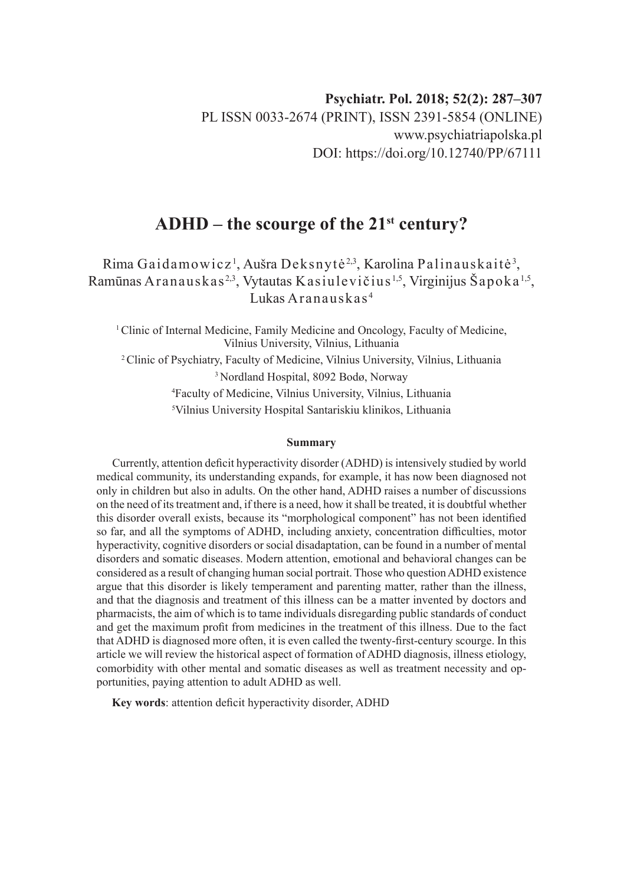# **ADHD – the scourge of the 21st century?**

Rima Gaidamowicz<sup>1</sup>, Aušra Deksnytė<sup>2,3</sup>, Karolina Palinauskaitė<sup>3</sup>, Ramūnas Aranauskas<sup>2,3</sup>, Vytautas Kasiulevičius<sup>1,5</sup>, Virginijus Šapoka<sup>1,5</sup>, Lukas Aranauskas <sup>4</sup>

<sup>1</sup> Clinic of Internal Medicine, Family Medicine and Oncology, Faculty of Medicine, Vilnius University, Vilnius, Lithuania 2 Clinic of Psychiatry, Faculty of Medicine, Vilnius University, Vilnius, Lithuania 3 Nordland Hospital, 8092 Bodø, Norway 4 Faculty of Medicine, Vilnius University, Vilnius, Lithuania 5 Vilnius University Hospital Santariskiu klinikos, Lithuania

#### **Summary**

Currently, attention deficit hyperactivity disorder (ADHD) is intensively studied by world medical community, its understanding expands, for example, it has now been diagnosed not only in children but also in adults. On the other hand, ADHD raises a number of discussions on the need of its treatment and, if there is a need, how it shall be treated, it is doubtful whether this disorder overall exists, because its "morphological component" has not been identified so far, and all the symptoms of ADHD, including anxiety, concentration difficulties, motor hyperactivity, cognitive disorders or social disadaptation, can be found in a number of mental disorders and somatic diseases. Modern attention, emotional and behavioral changes can be considered as a result of changing human social portrait. Those who question ADHD existence argue that this disorder is likely temperament and parenting matter, rather than the illness, and that the diagnosis and treatment of this illness can be a matter invented by doctors and pharmacists, the aim of which is to tame individuals disregarding public standards of conduct and get the maximum profit from medicines in the treatment of this illness. Due to the fact that ADHD is diagnosed more often, it is even called the twenty-first-century scourge. In this article we will review the historical aspect of formation of ADHD diagnosis, illness etiology, comorbidity with other mental and somatic diseases as well as treatment necessity and opportunities, paying attention to adult ADHD as well.

**Key words**: attention deficit hyperactivity disorder, ADHD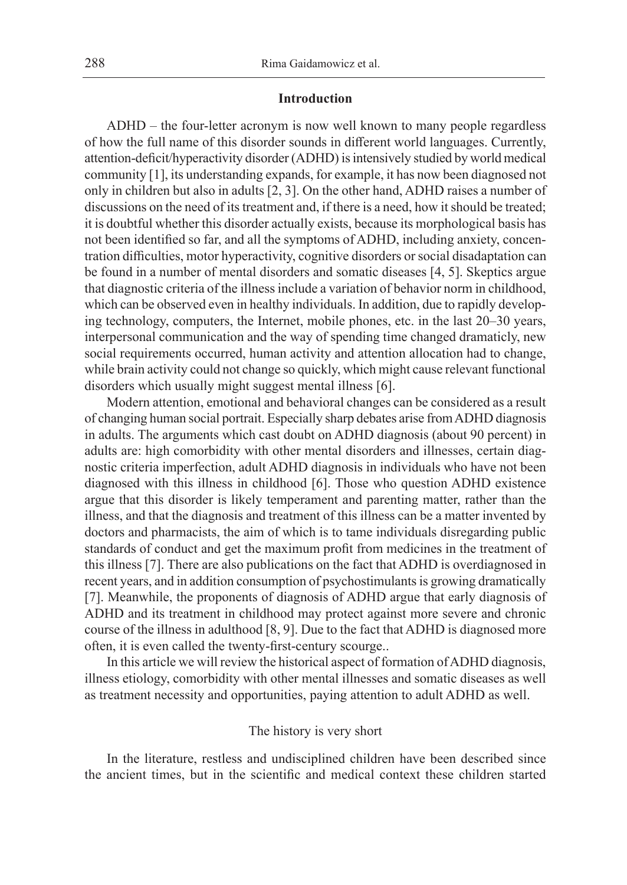#### **Introduction**

ADHD – the four-letter acronym is now well known to many people regardless of how the full name of this disorder sounds in different world languages. Currently, attention-deficit/hyperactivity disorder (ADHD) is intensively studied by world medical community [1], its understanding expands, for example, it has now been diagnosed not only in children but also in adults [2, 3]. On the other hand, ADHD raises a number of discussions on the need of its treatment and, if there is a need, how it should be treated; it is doubtful whether this disorder actually exists, because its morphological basis has not been identified so far, and all the symptoms of ADHD, including anxiety, concentration difficulties, motor hyperactivity, cognitive disorders or social disadaptation can be found in a number of mental disorders and somatic diseases [4, 5]. Skeptics argue that diagnostic criteria of the illness include a variation of behavior norm in childhood, which can be observed even in healthy individuals. In addition, due to rapidly developing technology, computers, the Internet, mobile phones, etc. in the last 20–30 years, interpersonal communication and the way of spending time changed dramaticly, new social requirements occurred, human activity and attention allocation had to change, while brain activity could not change so quickly, which might cause relevant functional disorders which usually might suggest mental illness [6].

Modern attention, emotional and behavioral changes can be considered as a result of changing human social portrait. Especially sharp debates arise from ADHD diagnosis in adults. The arguments which cast doubt on ADHD diagnosis (about 90 percent) in adults are: high comorbidity with other mental disorders and illnesses, certain diagnostic criteria imperfection, adult ADHD diagnosis in individuals who have not been diagnosed with this illness in childhood [6]. Those who question ADHD existence argue that this disorder is likely temperament and parenting matter, rather than the illness, and that the diagnosis and treatment of this illness can be a matter invented by doctors and pharmacists, the aim of which is to tame individuals disregarding public standards of conduct and get the maximum profit from medicines in the treatment of this illness [7]. There are also publications on the fact that ADHD is overdiagnosed in recent years, and in addition consumption of psychostimulants is growing dramatically [7]. Meanwhile, the proponents of diagnosis of ADHD argue that early diagnosis of ADHD and its treatment in childhood may protect against more severe and chronic course of the illness in adulthood [8, 9]. Due to the fact that ADHD is diagnosed more often, it is even called the twenty-first-century scourge..

In this article we will review the historical aspect of formation of ADHD diagnosis, illness etiology, comorbidity with other mental illnesses and somatic diseases as well as treatment necessity and opportunities, paying attention to adult ADHD as well.

## The history is very short

In the literature, restless and undisciplined children have been described since the ancient times, but in the scientific and medical context these children started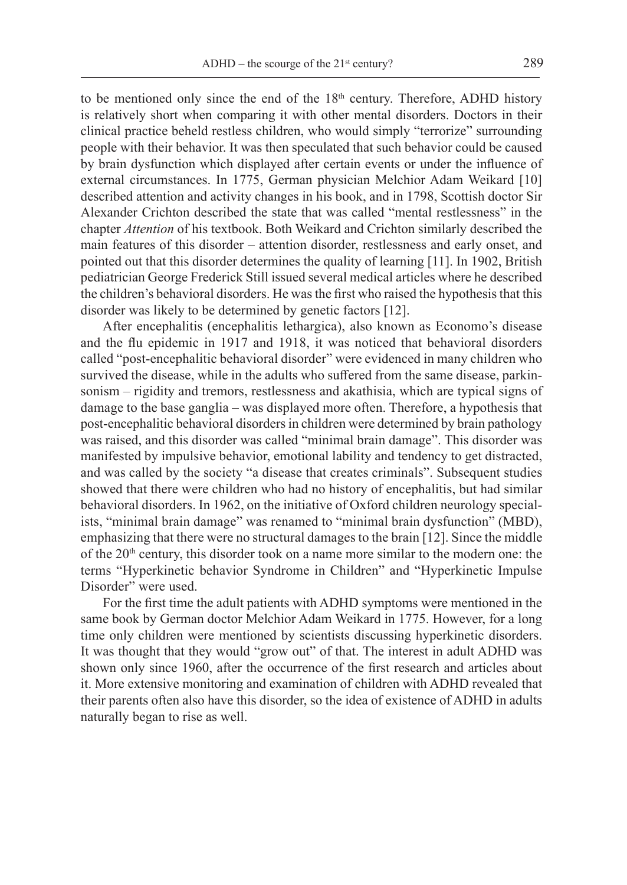to be mentioned only since the end of the  $18<sup>th</sup>$  century. Therefore, ADHD history is relatively short when comparing it with other mental disorders. Doctors in their clinical practice beheld restless children, who would simply "terrorize" surrounding people with their behavior. It was then speculated that such behavior could be caused by brain dysfunction which displayed after certain events or under the influence of external circumstances. In 1775, German physician Melchior Adam Weikard [10] described attention and activity changes in his book, and in 1798, Scottish doctor Sir Alexander Crichton described the state that was called "mental restlessness" in the chapter *Attention* of his textbook. Both Weikard and Crichton similarly described the main features of this disorder – attention disorder, restlessness and early onset, and pointed out that this disorder determines the quality of learning [11]. In 1902, British pediatrician George Frederick Still issued several medical articles where he described the children's behavioral disorders. He was the first who raised the hypothesis that this disorder was likely to be determined by genetic factors [12].

After encephalitis (encephalitis lethargica), also known as Economo's disease and the flu epidemic in 1917 and 1918, it was noticed that behavioral disorders called "post-encephalitic behavioral disorder" were evidenced in many children who survived the disease, while in the adults who suffered from the same disease, parkinsonism – rigidity and tremors, restlessness and akathisia, which are typical signs of damage to the base ganglia – was displayed more often. Therefore, a hypothesis that post-encephalitic behavioral disorders in children were determined by brain pathology was raised, and this disorder was called "minimal brain damage". This disorder was manifested by impulsive behavior, emotional lability and tendency to get distracted, and was called by the society "a disease that creates criminals". Subsequent studies showed that there were children who had no history of encephalitis, but had similar behavioral disorders. In 1962, on the initiative of Oxford children neurology specialists, "minimal brain damage" was renamed to "minimal brain dysfunction" (MBD), emphasizing that there were no structural damages to the brain [12]. Since the middle of the 20<sup>th</sup> century, this disorder took on a name more similar to the modern one: the terms "Hyperkinetic behavior Syndrome in Children" and "Hyperkinetic Impulse Disorder" were used.

For the first time the adult patients with ADHD symptoms were mentioned in the same book by German doctor Melchior Adam Weikard in 1775. However, for a long time only children were mentioned by scientists discussing hyperkinetic disorders. It was thought that they would "grow out" of that. The interest in adult ADHD was shown only since 1960, after the occurrence of the first research and articles about it. More extensive monitoring and examination of children with ADHD revealed that their parents often also have this disorder, so the idea of existence of ADHD in adults naturally began to rise as well.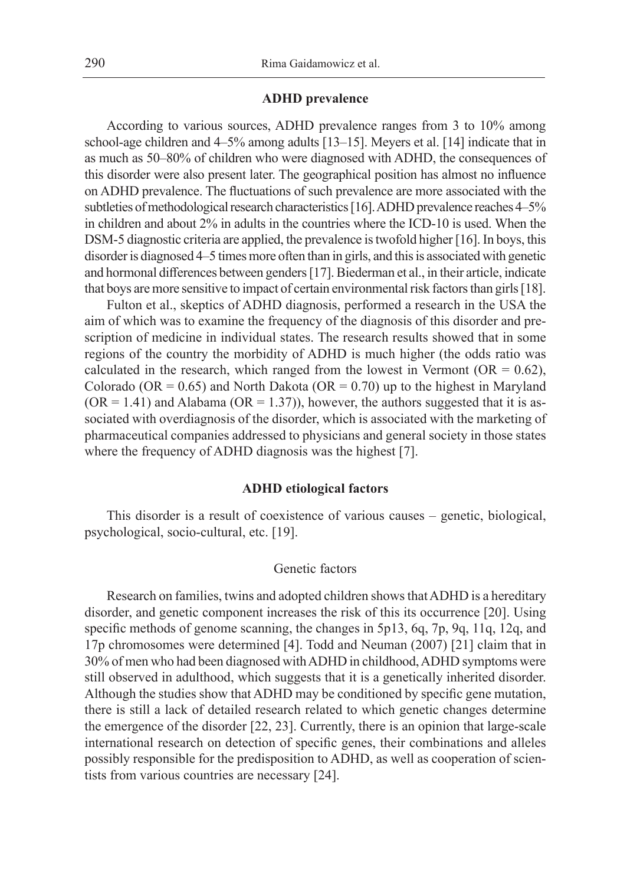## **ADHD prevalence**

According to various sources, ADHD prevalence ranges from 3 to 10% among school-age children and 4–5% among adults [13–15]. Meyers et al. [14] indicate that in as much as 50–80% of children who were diagnosed with ADHD, the consequences of this disorder were also present later. The geographical position has almost no influence on ADHD prevalence. The fluctuations of such prevalence are more associated with the subtleties of methodological research characteristics [16]. ADHD prevalence reaches 4–5% in children and about 2% in adults in the countries where the ICD-10 is used. When the DSM-5 diagnostic criteria are applied, the prevalence is twofold higher [16]. In boys, this disorder is diagnosed 4–5 times more often than in girls, and this is associated with genetic and hormonal differences between genders [17]. Biederman et al., in their article, indicate that boys are more sensitive to impact of certain environmental risk factors than girls [18].

Fulton et al., skeptics of ADHD diagnosis, performed a research in the USA the aim of which was to examine the frequency of the diagnosis of this disorder and prescription of medicine in individual states. The research results showed that in some regions of the country the morbidity of ADHD is much higher (the odds ratio was calculated in the research, which ranged from the lowest in Vermont ( $OR = 0.62$ ), Colorado (OR =  $0.65$ ) and North Dakota (OR =  $0.70$ ) up to the highest in Maryland  $(OR = 1.41)$  and Alabama  $(OR = 1.37)$ , however, the authors suggested that it is associated with overdiagnosis of the disorder, which is associated with the marketing of pharmaceutical companies addressed to physicians and general society in those states where the frequency of ADHD diagnosis was the highest [7].

#### **ADHD etiological factors**

This disorder is a result of coexistence of various causes – genetic, biological, psychological, socio-cultural, etc. [19].

## Genetic factors

Research on families, twins and adopted children shows that ADHD is a hereditary disorder, and genetic component increases the risk of this its occurrence [20]. Using specific methods of genome scanning, the changes in 5p13, 6q, 7p, 9q, 11q, 12q, and 17p chromosomes were determined [4]. Todd and Neuman (2007) [21] claim that in 30% of men who had been diagnosed with ADHD in childhood, ADHD symptoms were still observed in adulthood, which suggests that it is a genetically inherited disorder. Although the studies show that ADHD may be conditioned by specific gene mutation, there is still a lack of detailed research related to which genetic changes determine the emergence of the disorder [22, 23]. Currently, there is an opinion that large-scale international research on detection of specific genes, their combinations and alleles possibly responsible for the predisposition to ADHD, as well as cooperation of scientists from various countries are necessary [24].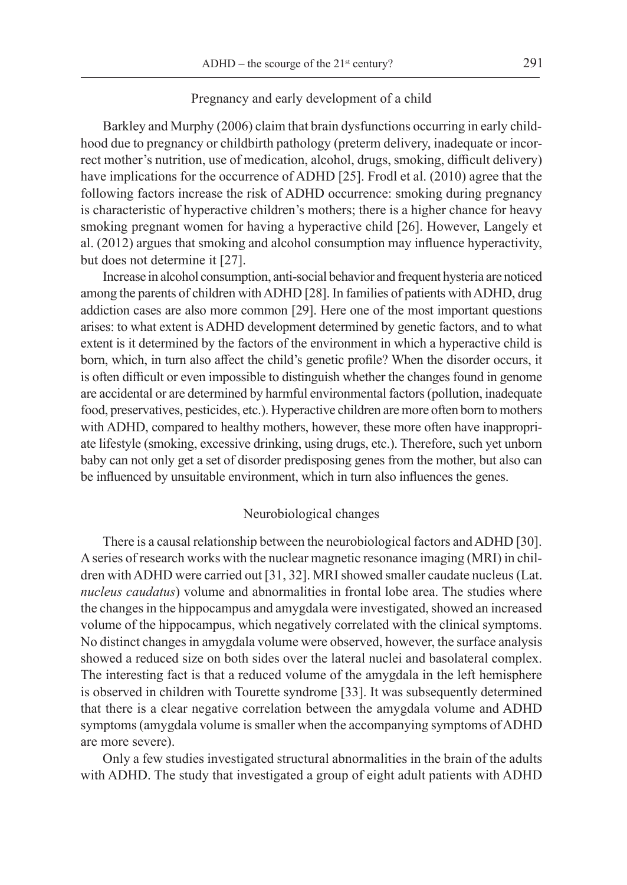## Pregnancy and early development of a child

Barkley and Murphy (2006) claim that brain dysfunctions occurring in early childhood due to pregnancy or childbirth pathology (preterm delivery, inadequate or incorrect mother's nutrition, use of medication, alcohol, drugs, smoking, difficult delivery) have implications for the occurrence of ADHD [25]. Frodl et al. (2010) agree that the following factors increase the risk of ADHD occurrence: smoking during pregnancy is characteristic of hyperactive children's mothers; there is a higher chance for heavy smoking pregnant women for having a hyperactive child [26]. However, Langely et al. (2012) argues that smoking and alcohol consumption may influence hyperactivity, but does not determine it [27].

Increase in alcohol consumption, anti-social behavior and frequent hysteria are noticed among the parents of children with ADHD [28]. In families of patients with ADHD, drug addiction cases are also more common [29]. Here one of the most important questions arises: to what extent is ADHD development determined by genetic factors, and to what extent is it determined by the factors of the environment in which a hyperactive child is born, which, in turn also affect the child's genetic profile? When the disorder occurs, it is often difficult or even impossible to distinguish whether the changes found in genome are accidental or are determined by harmful environmental factors (pollution, inadequate food, preservatives, pesticides, etc.). Hyperactive children are more often born to mothers with ADHD, compared to healthy mothers, however, these more often have inappropriate lifestyle (smoking, excessive drinking, using drugs, etc.). Therefore, such yet unborn baby can not only get a set of disorder predisposing genes from the mother, but also can be influenced by unsuitable environment, which in turn also influences the genes.

#### Neurobiological changes

There is a causal relationship between the neurobiological factors and ADHD [30]. A series of research works with the nuclear magnetic resonance imaging (MRI) in children with ADHD were carried out [31, 32]. MRI showed smaller caudate nucleus (Lat. *nucleus caudatus*) volume and abnormalities in frontal lobe area. The studies where the changes in the hippocampus and amygdala were investigated, showed an increased volume of the hippocampus, which negatively correlated with the clinical symptoms. No distinct changes in amygdala volume were observed, however, the surface analysis showed a reduced size on both sides over the lateral nuclei and basolateral complex. The interesting fact is that a reduced volume of the amygdala in the left hemisphere is observed in children with Tourette syndrome [33]. It was subsequently determined that there is a clear negative correlation between the amygdala volume and ADHD symptoms (amygdala volume is smaller when the accompanying symptoms of ADHD are more severe).

Only a few studies investigated structural abnormalities in the brain of the adults with ADHD. The study that investigated a group of eight adult patients with ADHD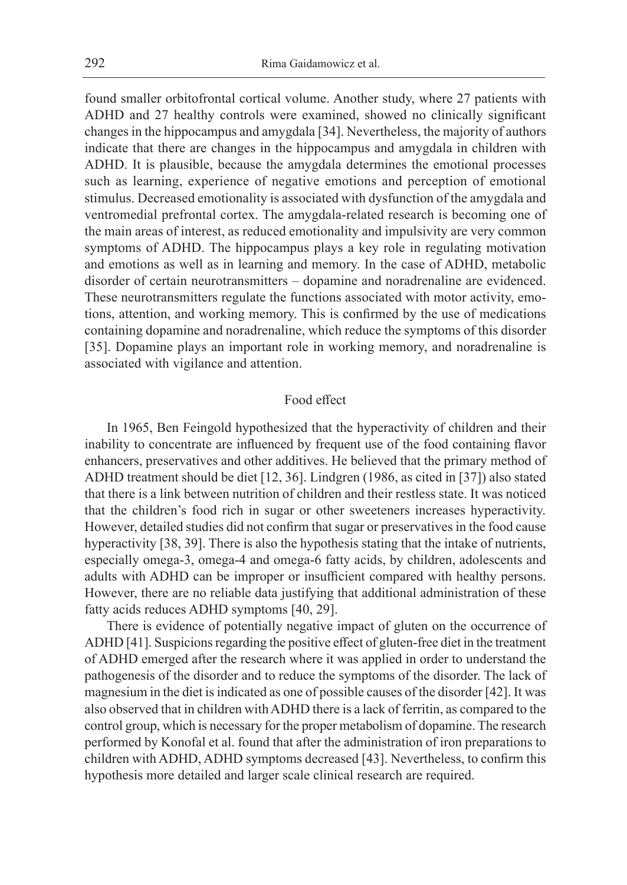found smaller orbitofrontal cortical volume. Another study, where 27 patients with ADHD and 27 healthy controls were examined, showed no clinically significant changes in the hippocampus and amygdala [34]. Nevertheless, the majority of authors indicate that there are changes in the hippocampus and amygdala in children with ADHD. It is plausible, because the amygdala determines the emotional processes such as learning, experience of negative emotions and perception of emotional stimulus. Decreased emotionality is associated with dysfunction of the amygdala and ventromedial prefrontal cortex. The amygdala-related research is becoming one of the main areas of interest, as reduced emotionality and impulsivity are very common symptoms of ADHD. The hippocampus plays a key role in regulating motivation and emotions as well as in learning and memory. In the case of ADHD, metabolic disorder of certain neurotransmitters – dopamine and noradrenaline are evidenced. These neurotransmitters regulate the functions associated with motor activity, emotions, attention, and working memory. This is confirmed by the use of medications containing dopamine and noradrenaline, which reduce the symptoms of this disorder [35]. Dopamine plays an important role in working memory, and noradrenaline is associated with vigilance and attention.

## Food effect

In 1965, Ben Feingold hypothesized that the hyperactivity of children and their inability to concentrate are influenced by frequent use of the food containing flavor enhancers, preservatives and other additives. He believed that the primary method of ADHD treatment should be diet [12, 36]. Lindgren (1986, as cited in [37]) also stated that there is a link between nutrition of children and their restless state. It was noticed that the children's food rich in sugar or other sweeteners increases hyperactivity. However, detailed studies did not confirm that sugar or preservatives in the food cause hyperactivity [38, 39]. There is also the hypothesis stating that the intake of nutrients, especially omega-3, omega-4 and omega-6 fatty acids, by children, adolescents and adults with ADHD can be improper or insufficient compared with healthy persons. However, there are no reliable data justifying that additional administration of these fatty acids reduces ADHD symptoms [40, 29].

There is evidence of potentially negative impact of gluten on the occurrence of ADHD [41]. Suspicions regarding the positive effect of gluten-free diet in the treatment of ADHD emerged after the research where it was applied in order to understand the pathogenesis of the disorder and to reduce the symptoms of the disorder. The lack of magnesium in the diet is indicated as one of possible causes of the disorder [42]. It was also observed that in children with ADHD there is a lack of ferritin, as compared to the control group, which is necessary for the proper metabolism of dopamine. The research performed by Konofal et al. found that after the administration of iron preparations to children with ADHD, ADHD symptoms decreased [43]. Nevertheless, to confirm this hypothesis more detailed and larger scale clinical research are required.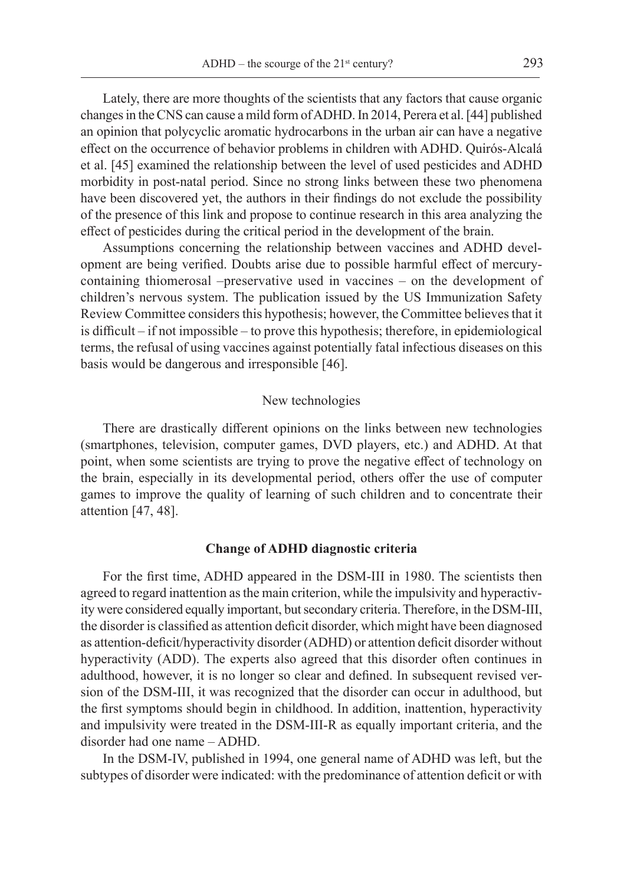Lately, there are more thoughts of the scientists that any factors that cause organic changes in the CNS can cause a mild form of ADHD. In 2014, Perera et al. [44] published an opinion that polycyclic aromatic hydrocarbons in the urban air can have a negative effect on the occurrence of behavior problems in children with ADHD. Quirós-Alcalá et al. [45] examined the relationship between the level of used pesticides and ADHD morbidity in post-natal period. Since no strong links between these two phenomena have been discovered yet, the authors in their findings do not exclude the possibility of the presence of this link and propose to continue research in this area analyzing the effect of pesticides during the critical period in the development of the brain.

Assumptions concerning the relationship between vaccines and ADHD development are being verified. Doubts arise due to possible harmful effect of mercurycontaining thiomerosal –preservative used in vaccines – on the development of children's nervous system. The publication issued by the US Immunization Safety Review Committee considers this hypothesis; however, the Committee believes that it is difficult – if not impossible – to prove this hypothesis; therefore, in epidemiological terms, the refusal of using vaccines against potentially fatal infectious diseases on this basis would be dangerous and irresponsible [46].

# New technologies

There are drastically different opinions on the links between new technologies (smartphones, television, computer games, DVD players, etc.) and ADHD. At that point, when some scientists are trying to prove the negative effect of technology on the brain, especially in its developmental period, others offer the use of computer games to improve the quality of learning of such children and to concentrate their attention [47, 48].

#### **Change of ADHD diagnostic criteria**

For the first time, ADHD appeared in the DSM-III in 1980. The scientists then agreed to regard inattention as the main criterion, while the impulsivity and hyperactivity were considered equally important, but secondary criteria. Therefore, in the DSM-III, the disorder is classified as attention deficit disorder, which might have been diagnosed as attention-deficit/hyperactivity disorder (ADHD) or attention deficit disorder without hyperactivity (ADD). The experts also agreed that this disorder often continues in adulthood, however, it is no longer so clear and defined. In subsequent revised version of the DSM-III, it was recognized that the disorder can occur in adulthood, but the first symptoms should begin in childhood. In addition, inattention, hyperactivity and impulsivity were treated in the DSM-III-R as equally important criteria, and the disorder had one name – ADHD.

In the DSM-IV, published in 1994, one general name of ADHD was left, but the subtypes of disorder were indicated: with the predominance of attention deficit or with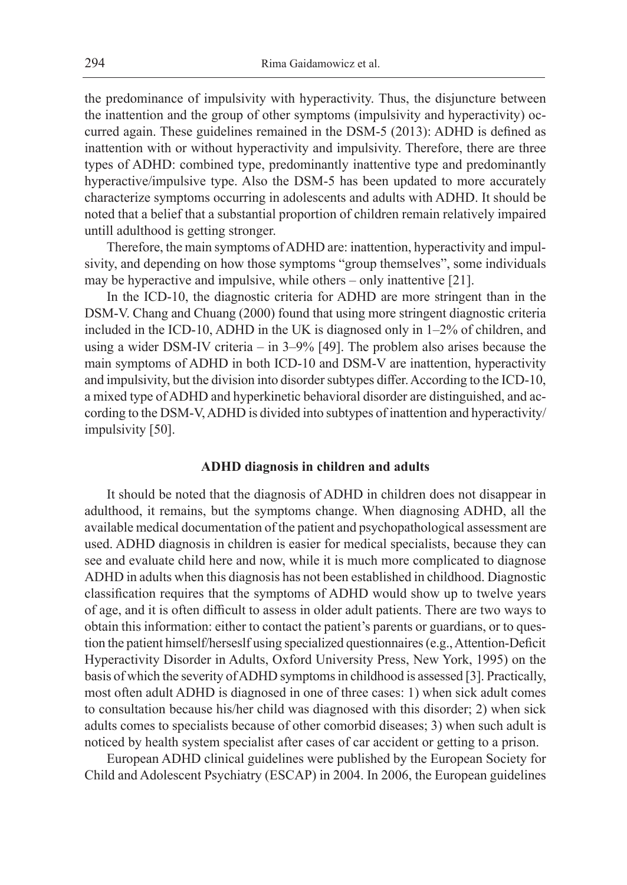the predominance of impulsivity with hyperactivity. Thus, the disjuncture between the inattention and the group of other symptoms (impulsivity and hyperactivity) occurred again. These guidelines remained in the DSM-5 (2013): ADHD is defined as inattention with or without hyperactivity and impulsivity. Therefore, there are three types of ADHD: combined type, predominantly inattentive type and predominantly hyperactive/impulsive type. Also the DSM-5 has been updated to more accurately characterize symptoms occurring in adolescents and adults with ADHD. It should be noted that a belief that a substantial proportion of children remain relatively impaired untill adulthood is getting stronger.

Therefore, the main symptoms of ADHD are: inattention, hyperactivity and impulsivity, and depending on how those symptoms "group themselves", some individuals may be hyperactive and impulsive, while others – only inattentive [21].

In the ICD-10, the diagnostic criteria for ADHD are more stringent than in the DSM-V. Chang and Chuang (2000) found that using more stringent diagnostic criteria included in the ICD-10, ADHD in the UK is diagnosed only in 1–2% of children, and using a wider DSM-IV criteria – in 3–9% [49]. The problem also arises because the main symptoms of ADHD in both ICD-10 and DSM-V are inattention, hyperactivity and impulsivity, but the division into disorder subtypes differ. According to the ICD-10, a mixed type of ADHD and hyperkinetic behavioral disorder are distinguished, and according to the DSM-V, ADHD is divided into subtypes of inattention and hyperactivity/ impulsivity [50].

## **ADHD diagnosis in children and adults**

It should be noted that the diagnosis of ADHD in children does not disappear in adulthood, it remains, but the symptoms change. When diagnosing ADHD, all the available medical documentation of the patient and psychopathological assessment are used. ADHD diagnosis in children is easier for medical specialists, because they can see and evaluate child here and now, while it is much more complicated to diagnose ADHD in adults when this diagnosis has not been established in childhood. Diagnostic classification requires that the symptoms of ADHD would show up to twelve years of age, and it is often difficult to assess in older adult patients. There are two ways to obtain this information: either to contact the patient's parents or guardians, or to question the patient himself/herseslf using specialized questionnaires (e.g., Attention-Deficit Hyperactivity Disorder in Adults, Oxford University Press, New York, 1995) on the basis of which the severity of ADHD symptoms in childhood is assessed [3]. Practically, most often adult ADHD is diagnosed in one of three cases: 1) when sick adult comes to consultation because his/her child was diagnosed with this disorder; 2) when sick adults comes to specialists because of other comorbid diseases; 3) when such adult is noticed by health system specialist after cases of car accident or getting to a prison.

European ADHD clinical guidelines were published by the European Society for Child and Adolescent Psychiatry (ESCAP) in 2004. In 2006, the European guidelines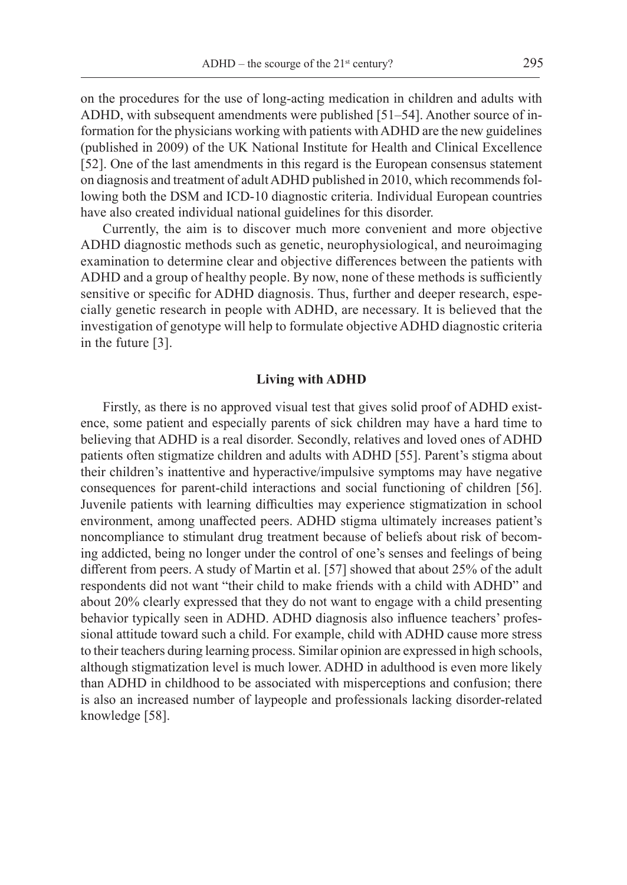on the procedures for the use of long-acting medication in children and adults with ADHD, with subsequent amendments were published [51–54]. Another source of information for the physicians working with patients with ADHD are the new guidelines (published in 2009) of the UK National Institute for Health and Clinical Excellence [52]. One of the last amendments in this regard is the European consensus statement on diagnosis and treatment of adult ADHD published in 2010, which recommends following both the DSM and ICD-10 diagnostic criteria. Individual European countries have also created individual national guidelines for this disorder.

Currently, the aim is to discover much more convenient and more objective ADHD diagnostic methods such as genetic, neurophysiological, and neuroimaging examination to determine clear and objective differences between the patients with ADHD and a group of healthy people. By now, none of these methods is sufficiently sensitive or specific for ADHD diagnosis. Thus, further and deeper research, especially genetic research in people with ADHD, are necessary. It is believed that the investigation of genotype will help to formulate objective ADHD diagnostic criteria in the future [3].

#### **Living with ADHD**

Firstly, as there is no approved visual test that gives solid proof of ADHD existence, some patient and especially parents of sick children may have a hard time to believing that ADHD is a real disorder. Secondly, relatives and loved ones of ADHD patients often stigmatize children and adults with ADHD [55]. Parent's stigma about their children's inattentive and hyperactive/impulsive symptoms may have negative consequences for parent-child interactions and social functioning of children [56]. Juvenile patients with learning difficulties may experience stigmatization in school environment, among unaffected peers. ADHD stigma ultimately increases patient's noncompliance to stimulant drug treatment because of beliefs about risk of becoming addicted, being no longer under the control of one's senses and feelings of being different from peers. A study of Martin et al. [57] showed that about 25% of the adult respondents did not want "their child to make friends with a child with ADHD" and about 20% clearly expressed that they do not want to engage with a child presenting behavior typically seen in ADHD. ADHD diagnosis also influence teachers' professional attitude toward such a child. For example, child with ADHD cause more stress to their teachers during learning process. Similar opinion are expressed in high schools, although stigmatization level is much lower. ADHD in adulthood is even more likely than ADHD in childhood to be associated with misperceptions and confusion; there is also an increased number of laypeople and professionals lacking disorder-related knowledge [58].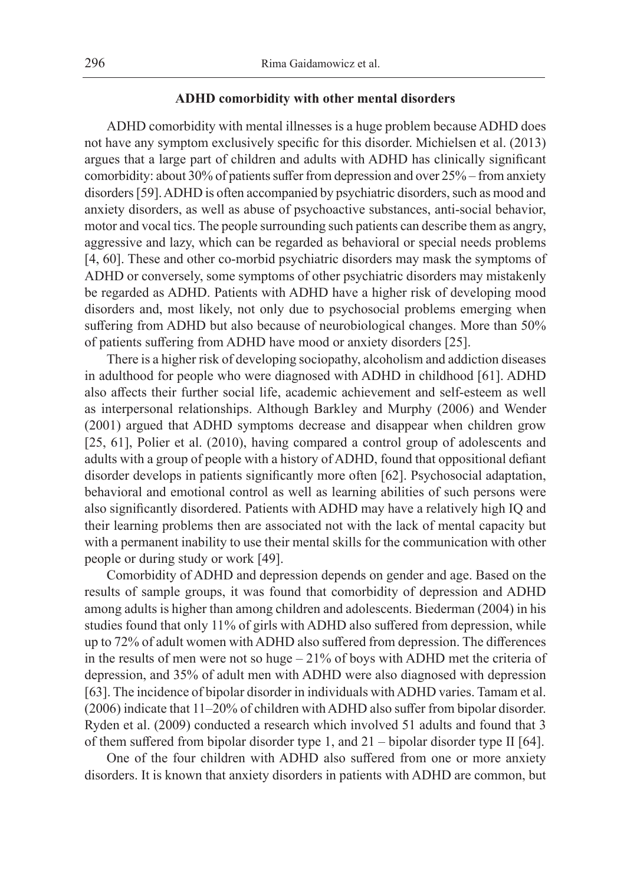## **ADHD comorbidity with other mental disorders**

ADHD comorbidity with mental illnesses is a huge problem because ADHD does not have any symptom exclusively specific for this disorder. Michielsen et al. (2013) argues that a large part of children and adults with ADHD has clinically significant comorbidity: about 30% of patients suffer from depression and over 25% – from anxiety disorders [59]. ADHD is often accompanied by psychiatric disorders, such as mood and anxiety disorders, as well as abuse of psychoactive substances, anti-social behavior, motor and vocal tics. The people surrounding such patients can describe them as angry, aggressive and lazy, which can be regarded as behavioral or special needs problems [4, 60]. These and other co-morbid psychiatric disorders may mask the symptoms of ADHD or conversely, some symptoms of other psychiatric disorders may mistakenly be regarded as ADHD. Patients with ADHD have a higher risk of developing mood disorders and, most likely, not only due to psychosocial problems emerging when suffering from ADHD but also because of neurobiological changes. More than 50% of patients suffering from ADHD have mood or anxiety disorders [25].

There is a higher risk of developing sociopathy, alcoholism and addiction diseases in adulthood for people who were diagnosed with ADHD in childhood [61]. ADHD also affects their further social life, academic achievement and self-esteem as well as interpersonal relationships. Although Barkley and Murphy (2006) and Wender (2001) argued that ADHD symptoms decrease and disappear when children grow [25, 61], Polier et al. (2010), having compared a control group of adolescents and adults with a group of people with a history of ADHD, found that oppositional defiant disorder develops in patients significantly more often [62]. Psychosocial adaptation, behavioral and emotional control as well as learning abilities of such persons were also significantly disordered. Patients with ADHD may have a relatively high IQ and their learning problems then are associated not with the lack of mental capacity but with a permanent inability to use their mental skills for the communication with other people or during study or work [49].

Comorbidity of ADHD and depression depends on gender and age. Based on the results of sample groups, it was found that comorbidity of depression and ADHD among adults is higher than among children and adolescents. Biederman (2004) in his studies found that only 11% of girls with ADHD also suffered from depression, while up to 72% of adult women with ADHD also suffered from depression. The differences in the results of men were not so huge  $-21\%$  of boys with ADHD met the criteria of depression, and 35% of adult men with ADHD were also diagnosed with depression [63]. The incidence of bipolar disorder in individuals with ADHD varies. Tamam et al. (2006) indicate that 11–20% of children with ADHD also suffer from bipolar disorder. Ryden et al. (2009) conducted a research which involved 51 adults and found that 3 of them suffered from bipolar disorder type 1, and 21 – bipolar disorder type II [64].

One of the four children with ADHD also suffered from one or more anxiety disorders. It is known that anxiety disorders in patients with ADHD are common, but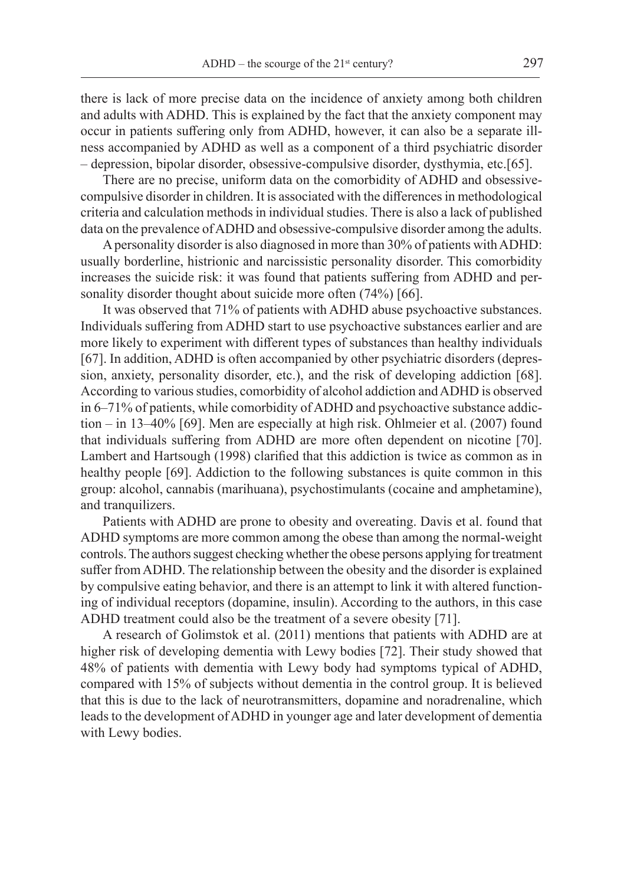there is lack of more precise data on the incidence of anxiety among both children and adults with ADHD. This is explained by the fact that the anxiety component may occur in patients suffering only from ADHD, however, it can also be a separate illness accompanied by ADHD as well as a component of a third psychiatric disorder – depression, bipolar disorder, obsessive-compulsive disorder, dysthymia, etc.[65].

There are no precise, uniform data on the comorbidity of ADHD and obsessivecompulsive disorder in children. It is associated with the differences in methodological criteria and calculation methods in individual studies. There is also a lack of published data on the prevalence of ADHD and obsessive-compulsive disorder among the adults.

A personality disorder is also diagnosed in more than 30% of patients with ADHD: usually borderline, histrionic and narcissistic personality disorder. This comorbidity increases the suicide risk: it was found that patients suffering from ADHD and personality disorder thought about suicide more often (74%) [66].

It was observed that 71% of patients with ADHD abuse psychoactive substances. Individuals suffering from ADHD start to use psychoactive substances earlier and are more likely to experiment with different types of substances than healthy individuals [67]. In addition, ADHD is often accompanied by other psychiatric disorders (depression, anxiety, personality disorder, etc.), and the risk of developing addiction [68]. According to various studies, comorbidity of alcohol addiction and ADHD is observed in 6–71% of patients, while comorbidity of ADHD and psychoactive substance addiction – in 13–40% [69]. Men are especially at high risk. Ohlmeier et al. (2007) found that individuals suffering from ADHD are more often dependent on nicotine [70]. Lambert and Hartsough (1998) clarified that this addiction is twice as common as in healthy people [69]. Addiction to the following substances is quite common in this group: alcohol, cannabis (marihuana), psychostimulants (cocaine and amphetamine), and tranquilizers.

Patients with ADHD are prone to obesity and overeating. Davis et al. found that ADHD symptoms are more common among the obese than among the normal-weight controls. The authors suggest checking whether the obese persons applying for treatment suffer from ADHD. The relationship between the obesity and the disorder is explained by compulsive eating behavior, and there is an attempt to link it with altered functioning of individual receptors (dopamine, insulin). According to the authors, in this case ADHD treatment could also be the treatment of a severe obesity [71].

A research of Golimstok et al. (2011) mentions that patients with ADHD are at higher risk of developing dementia with Lewy bodies [72]. Their study showed that 48% of patients with dementia with Lewy body had symptoms typical of ADHD, compared with 15% of subjects without dementia in the control group. It is believed that this is due to the lack of neurotransmitters, dopamine and noradrenaline, which leads to the development of ADHD in younger age and later development of dementia with Lewy bodies.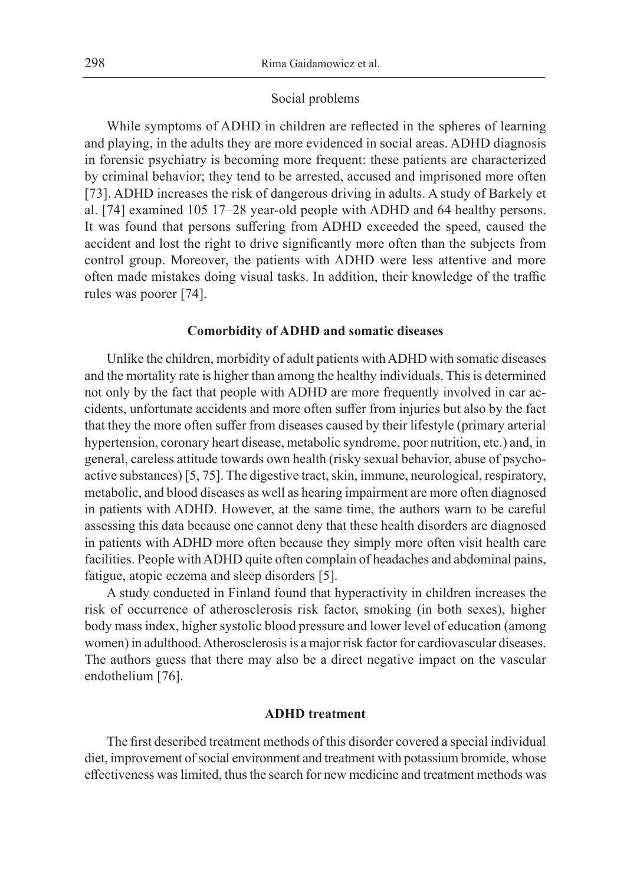#### Social problems

While symptoms of ADHD in children are reflected in the spheres of learning and playing, in the adults they are more evidenced in social areas. ADHD diagnosis in forensic psychiatry is becoming more frequent: these patients are characterized by criminal behavior; they tend to be arrested, accused and imprisoned more often [73]. ADHD increases the risk of dangerous driving in adults. A study of Barkely et al. [74] examined 105 17–28 year-old people with ADHD and 64 healthy persons. It was found that persons suffering from ADHD exceeded the speed, caused the accident and lost the right to drive significantly more often than the subjects from control group. Moreover, the patients with ADHD were less attentive and more often made mistakes doing visual tasks. In addition, their knowledge of the traffic rules was poorer [74].

#### **Comorbidity of ADHD and somatic diseases**

Unlike the children, morbidity of adult patients with ADHD with somatic diseases and the mortality rate is higher than among the healthy individuals. This is determined not only by the fact that people with ADHD are more frequently involved in car accidents, unfortunate accidents and more often suffer from injuries but also by the fact that they the more often suffer from diseases caused by their lifestyle (primary arterial hypertension, coronary heart disease, metabolic syndrome, poor nutrition, etc.) and, in general, careless attitude towards own health (risky sexual behavior, abuse of psychoactive substances) [5, 75]. The digestive tract, skin, immune, neurological, respiratory, metabolic, and blood diseases as well as hearing impairment are more often diagnosed in patients with ADHD. However, at the same time, the authors warn to be careful assessing this data because one cannot deny that these health disorders are diagnosed in patients with ADHD more often because they simply more often visit health care facilities. People with ADHD quite often complain of headaches and abdominal pains, fatigue, atopic eczema and sleep disorders [5].

A study conducted in Finland found that hyperactivity in children increases the risk of occurrence of atherosclerosis risk factor, smoking (in both sexes), higher body mass index, higher systolic blood pressure and lower level of education (among women) in adulthood. Atherosclerosis is a major risk factor for cardiovascular diseases. The authors guess that there may also be a direct negative impact on the vascular endothelium [76].

## **ADHD treatment**

The first described treatment methods of this disorder covered a special individual diet, improvement of social environment and treatment with potassium bromide, whose effectiveness was limited, thus the search for new medicine and treatment methods was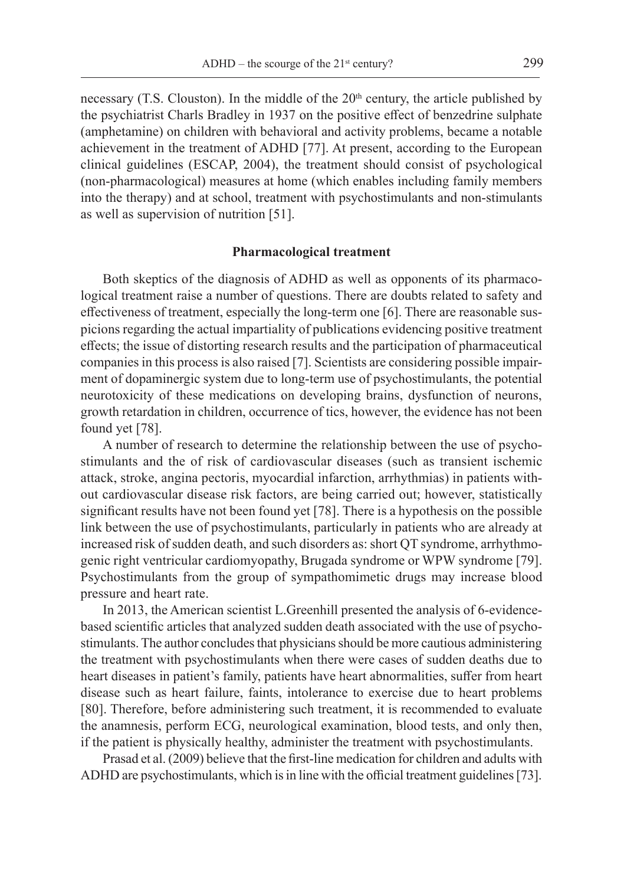necessary (T.S. Clouston). In the middle of the  $20<sup>th</sup>$  century, the article published by the psychiatrist Charls Bradley in 1937 on the positive effect of benzedrine sulphate (amphetamine) on children with behavioral and activity problems, became a notable achievement in the treatment of ADHD [77]. At present, according to the European clinical guidelines (ESCAP, 2004), the treatment should consist of psychological (non-pharmacological) measures at home (which enables including family members into the therapy) and at school, treatment with psychostimulants and non-stimulants as well as supervision of nutrition [51].

#### **Pharmacological treatment**

Both skeptics of the diagnosis of ADHD as well as opponents of its pharmacological treatment raise a number of questions. There are doubts related to safety and effectiveness of treatment, especially the long-term one [6]. There are reasonable suspicions regarding the actual impartiality of publications evidencing positive treatment effects; the issue of distorting research results and the participation of pharmaceutical companies in this process is also raised [7]. Scientists are considering possible impairment of dopaminergic system due to long-term use of psychostimulants, the potential neurotoxicity of these medications on developing brains, dysfunction of neurons, growth retardation in children, occurrence of tics, however, the evidence has not been found yet [78].

A number of research to determine the relationship between the use of psychostimulants and the of risk of cardiovascular diseases (such as transient ischemic attack, stroke, angina pectoris, myocardial infarction, arrhythmias) in patients without cardiovascular disease risk factors, are being carried out; however, statistically significant results have not been found yet [78]. There is a hypothesis on the possible link between the use of psychostimulants, particularly in patients who are already at increased risk of sudden death, and such disorders as: short QT syndrome, arrhythmogenic right ventricular cardiomyopathy, Brugada syndrome or WPW syndrome [79]. Psychostimulants from the group of sympathomimetic drugs may increase blood pressure and heart rate.

In 2013, the American scientist L.Greenhill presented the analysis of 6-evidencebased scientific articles that analyzed sudden death associated with the use of psychostimulants. The author concludes that physicians should be more cautious administering the treatment with psychostimulants when there were cases of sudden deaths due to heart diseases in patient's family, patients have heart abnormalities, suffer from heart disease such as heart failure, faints, intolerance to exercise due to heart problems [80]. Therefore, before administering such treatment, it is recommended to evaluate the anamnesis, perform ECG, neurological examination, blood tests, and only then, if the patient is physically healthy, administer the treatment with psychostimulants.

Prasad et al. (2009) believe that the first-line medication for children and adults with ADHD are psychostimulants, which is in line with the official treatment guidelines [73].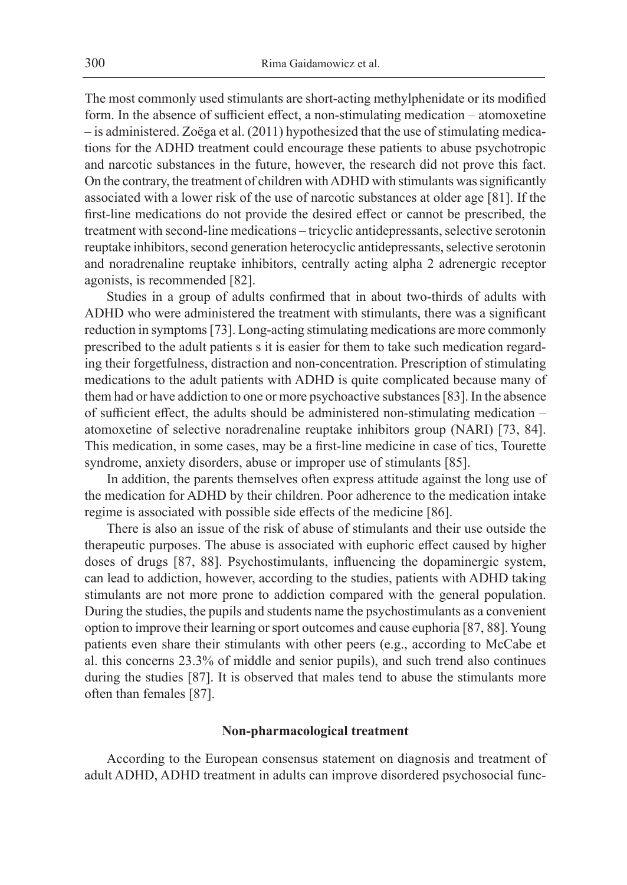The most commonly used stimulants are short-acting methylphenidate or its modified form. In the absence of sufficient effect, a non-stimulating medication – atomoxetine – is administered. Zoëga et al. (2011) hypothesized that the use of stimulating medications for the ADHD treatment could encourage these patients to abuse psychotropic and narcotic substances in the future, however, the research did not prove this fact. On the contrary, the treatment of children with ADHD with stimulants was significantly associated with a lower risk of the use of narcotic substances at older age [81]. If the first-line medications do not provide the desired effect or cannot be prescribed, the treatment with second-line medications – tricyclic antidepressants, selective serotonin reuptake inhibitors, second generation heterocyclic antidepressants, selective serotonin and noradrenaline reuptake inhibitors, centrally acting alpha 2 adrenergic receptor agonists, is recommended [82].

Studies in a group of adults confirmed that in about two-thirds of adults with ADHD who were administered the treatment with stimulants, there was a significant reduction in symptoms [73]. Long-acting stimulating medications are more commonly prescribed to the adult patients s it is easier for them to take such medication regarding their forgetfulness, distraction and non-concentration. Prescription of stimulating medications to the adult patients with ADHD is quite complicated because many of them had or have addiction to one or more psychoactive substances [83]. In the absence of sufficient effect, the adults should be administered non-stimulating medication – atomoxetine of selective noradrenaline reuptake inhibitors group (NARI) [73, 84]. This medication, in some cases, may be a first-line medicine in case of tics, Tourette syndrome, anxiety disorders, abuse or improper use of stimulants [85].

In addition, the parents themselves often express attitude against the long use of the medication for ADHD by their children. Poor adherence to the medication intake regime is associated with possible side effects of the medicine [86].

There is also an issue of the risk of abuse of stimulants and their use outside the therapeutic purposes. The abuse is associated with euphoric effect caused by higher doses of drugs [87, 88]. Psychostimulants, influencing the dopaminergic system, can lead to addiction, however, according to the studies, patients with ADHD taking stimulants are not more prone to addiction compared with the general population. During the studies, the pupils and students name the psychostimulants as a convenient option to improve their learning or sport outcomes and cause euphoria [87, 88]. Young patients even share their stimulants with other peers (e.g., according to McCabe et al. this concerns 23.3% of middle and senior pupils), and such trend also continues during the studies [87]. It is observed that males tend to abuse the stimulants more often than females [87].

#### **Non-pharmacological treatment**

According to the European consensus statement on diagnosis and treatment of adult ADHD, ADHD treatment in adults can improve disordered psychosocial func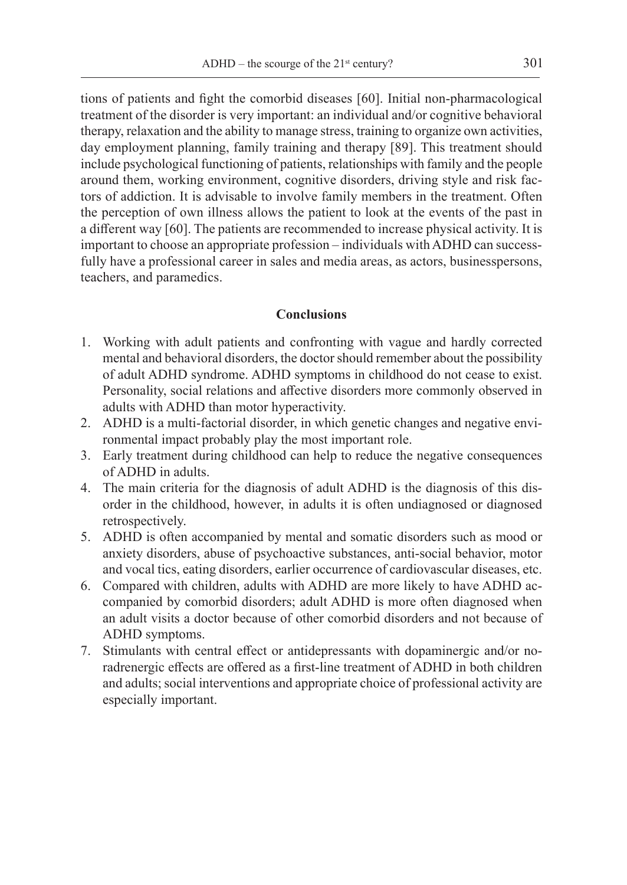tions of patients and fight the comorbid diseases [60]. Initial non-pharmacological treatment of the disorder is very important: an individual and/or cognitive behavioral therapy, relaxation and the ability to manage stress, training to organize own activities, day employment planning, family training and therapy [89]. This treatment should include psychological functioning of patients, relationships with family and the people around them, working environment, cognitive disorders, driving style and risk factors of addiction. It is advisable to involve family members in the treatment. Often the perception of own illness allows the patient to look at the events of the past in a different way [60]. The patients are recommended to increase physical activity. It is important to choose an appropriate profession – individuals with ADHD can successfully have a professional career in sales and media areas, as actors, businesspersons, teachers, and paramedics.

# **Conclusions**

- 1. Working with adult patients and confronting with vague and hardly corrected mental and behavioral disorders, the doctor should remember about the possibility of adult ADHD syndrome. ADHD symptoms in childhood do not cease to exist. Personality, social relations and affective disorders more commonly observed in adults with ADHD than motor hyperactivity.
- 2. ADHD is a multi-factorial disorder, in which genetic changes and negative environmental impact probably play the most important role.
- 3. Early treatment during childhood can help to reduce the negative consequences of ADHD in adults.
- 4. The main criteria for the diagnosis of adult ADHD is the diagnosis of this disorder in the childhood, however, in adults it is often undiagnosed or diagnosed retrospectively.
- 5. ADHD is often accompanied by mental and somatic disorders such as mood or anxiety disorders, abuse of psychoactive substances, anti-social behavior, motor and vocal tics, eating disorders, earlier occurrence of cardiovascular diseases, etc.
- 6. Compared with children, adults with ADHD are more likely to have ADHD accompanied by comorbid disorders; adult ADHD is more often diagnosed when an adult visits a doctor because of other comorbid disorders and not because of ADHD symptoms.
- 7. Stimulants with central effect or antidepressants with dopaminergic and/or noradrenergic effects are offered as a first-line treatment of ADHD in both children and adults; social interventions and appropriate choice of professional activity are especially important.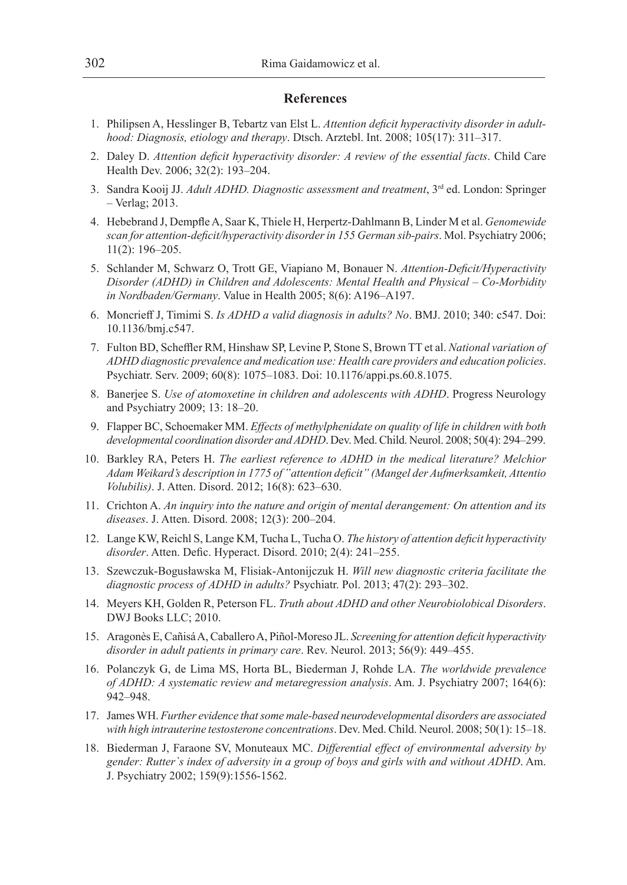#### **References**

- 1. Philipsen A, Hesslinger B, Tebartz van Elst L. *Attention deficit hyperactivity disorder in adulthood: Diagnosis, etiology and therapy*. Dtsch. Arztebl. Int. 2008; 105(17): 311–317.
- 2. Daley D. *Attention deficit hyperactivity disorder: A review of the essential facts*. Child Care Health Dev. 2006; 32(2): 193–204.
- 3. Sandra Kooij JJ. *Adult ADHD. Diagnostic assessment and treatment*, 3rd ed. London: Springer – Verlag; 2013.
- 4. Hebebrand J, Dempfle A, Saar K, Thiele H, Herpertz-Dahlmann B, Linder M et al. *Genomewide scan for attention-deficit/hyperactivity disorder in 155 German sib-pairs*. Mol. Psychiatry 2006; 11(2): 196–205.
- 5. Schlander M, Schwarz O, Trott GE, Viapiano M, Bonauer N. *Attention-Deficit/Hyperactivity Disorder (ADHD) in Children and Adolescents: Mental Health and Physical – Co-Morbidity in Nordbaden/Germany*. Value in Health 2005; 8(6): A196–A197.
- 6. Moncrieff J, Timimi S. *Is ADHD a valid diagnosis in adults? No*. BMJ. 2010; 340: c547. Doi: 10.1136/bmj.c547.
- 7. Fulton BD, Scheffler RM, Hinshaw SP, Levine P, Stone S, Brown TT et al. *National variation of ADHD diagnostic prevalence and medication use: Health care providers and education policies*. Psychiatr. Serv. 2009; 60(8): 1075–1083. Doi: 10.1176/appi.ps.60.8.1075.
- 8. Banerjee S. *Use of atomoxetine in children and adolescents with ADHD*. Progress Neurology and Psychiatry 2009; 13: 18–20.
- 9. Flapper BC, Schoemaker MM. *Effects of methylphenidate on quality of life in children with both developmental coordination disorder and ADHD*. Dev. Med. Child. Neurol. 2008; 50(4): 294–299.
- 10. Barkley RA, Peters H. *The earliest reference to ADHD in the medical literature? Melchior Adam Weikard's description in 1775 of "attention deficit" (Mangel der Aufmerksamkeit, Attentio Volubilis)*. J. Atten. Disord. 2012; 16(8): 623–630.
- 11. Crichton A. *An inquiry into the nature and origin of mental derangement: On attention and its diseases*. J. Atten. Disord. 2008; 12(3): 200–204.
- 12. Lange KW, Reichl S, Lange KM, Tucha L, Tucha O. *The history of attention deficit hyperactivity disorder*. Atten. Defic. Hyperact. Disord. 2010; 2(4): 241–255.
- 13. Szewczuk-Bogusławska M, Flisiak-Antonijczuk H. *Will new diagnostic criteria facilitate the diagnostic process of ADHD in adults?* Psychiatr. Pol. 2013; 47(2): 293–302.
- 14. Meyers KH, Golden R, Peterson FL. *Truth about ADHD and other Neurobiolobical Disorders*. DWJ Books LLC; 2010.
- 15. Aragonès E, Cañisá A, Caballero A, Piñol-Moreso JL. *Screening for attention deficit hyperactivity disorder in adult patients in primary care*. Rev. Neurol. 2013; 56(9): 449–455.
- 16. Polanczyk G, de Lima MS, Horta BL, Biederman J, Rohde LA. *The worldwide prevalence of ADHD: A systematic review and metaregression analysis*. Am. J. Psychiatry 2007; 164(6): 942–948.
- 17. James WH. *Further evidence that some male-based neurodevelopmental disorders are associated with high intrauterine testosterone concentrations*. Dev. Med. Child. Neurol. 2008; 50(1): 15–18.
- 18. Biederman J, Faraone SV, Monuteaux MC. *Differential effect of environmental adversity by gender: Rutter`s index of adversity in a group of boys and girls with and without ADHD*. Am. J. Psychiatry 2002; 159(9):1556-1562.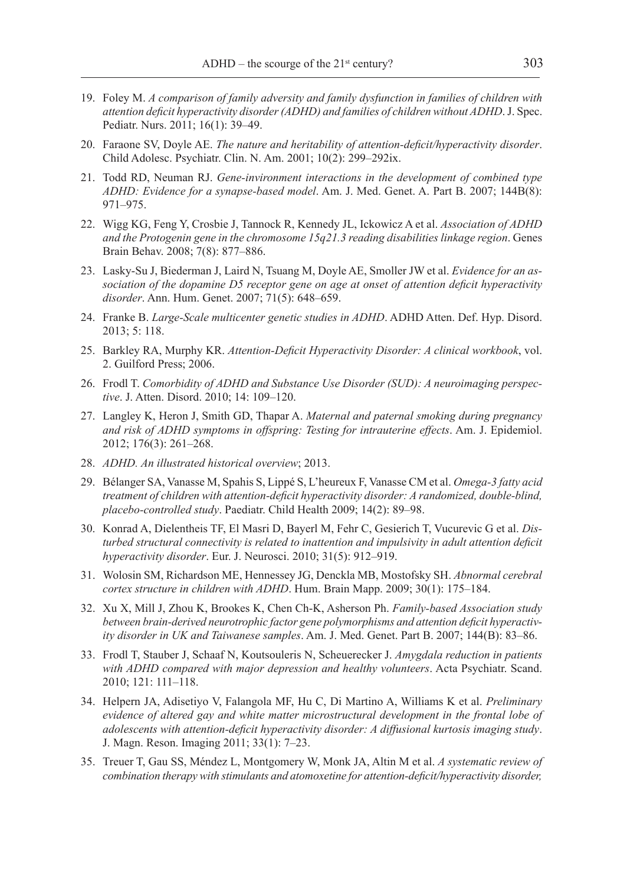- 19. Foley M. *A comparison of family adversity and family dysfunction in families of children with attention deficit hyperactivity disorder (ADHD) and families of children without ADHD*. J. Spec. Pediatr. Nurs. 2011; 16(1): 39–49.
- 20. Faraone SV, Doyle AE. *The nature and heritability of attention-deficit/hyperactivity disorder*. Child Adolesc. Psychiatr. Clin. N. Am. 2001; 10(2): 299–292ix.
- 21. Todd RD, Neuman RJ. *Gene-invironment interactions in the development of combined type ADHD: Evidence for a synapse-based model*. Am. J. Med. Genet. A. Part B. 2007; 144B(8): 971–975.
- 22. Wigg KG, Feng Y, Crosbie J, Tannock R, Kennedy JL, Ickowicz A et al. *Association of ADHD and the Protogenin gene in the chromosome 15q21.3 reading disabilities linkage region*. Genes Brain Behav. 2008; 7(8): 877–886.
- 23. Lasky-Su J, Biederman J, Laird N, Tsuang M, Doyle AE, Smoller JW et al. *Evidence for an association of the dopamine D5 receptor gene on age at onset of attention deficit hyperactivity disorder*. Ann. Hum. Genet. 2007; 71(5): 648–659.
- 24. Franke B. *Large-Scale multicenter genetic studies in ADHD*. ADHD Atten. Def. Hyp. Disord. 2013; 5: 118.
- 25. Barkley RA, Murphy KR. *Attention-Deficit Hyperactivity Disorder: A clinical workbook*, vol. 2. Guilford Press; 2006.
- 26. Frodl T. *Comorbidity of ADHD and Substance Use Disorder (SUD): A neuroimaging perspective*. J. Atten. Disord. 2010; 14: 109–120.
- 27. Langley K, Heron J, Smith GD, Thapar A. *Maternal and paternal smoking during pregnancy and risk of ADHD symptoms in offspring: Testing for intrauterine effects*. Am. J. Epidemiol. 2012; 176(3): 261–268.
- 28. *ADHD. An illustrated historical overview*; 2013.
- 29. Bélanger SA, Vanasse M, Spahis S, Lippé S, L'heureux F, Vanasse CM et al. *Omega-3 fatty acid treatment of children with attention-deficit hyperactivity disorder: A randomized, double-blind, placebo-controlled study*. Paediatr. Child Health 2009; 14(2): 89–98.
- 30. Konrad A, Dielentheis TF, El Masri D, Bayerl M, Fehr C, Gesierich T, Vucurevic G et al. *Disturbed structural connectivity is related to inattention and impulsivity in adult attention deficit hyperactivity disorder*. Eur. J. Neurosci. 2010; 31(5): 912–919.
- 31. Wolosin SM, Richardson ME, Hennessey JG, Denckla MB, Mostofsky SH. *Abnormal cerebral cortex structure in children with ADHD*. Hum. Brain Mapp. 2009; 30(1): 175–184.
- 32. Xu X, Mill J, Zhou K, Brookes K, Chen Ch-K, Asherson Ph. *Family-based Association study between brain-derived neurotrophic factor gene polymorphisms and attention deficit hyperactivity disorder in UK and Taiwanese samples*. Am. J. Med. Genet. Part B. 2007; 144(B): 83–86.
- 33. Frodl T, Stauber J, Schaaf N, Koutsouleris N, Scheuerecker J. *Amygdala reduction in patients with ADHD compared with major depression and healthy volunteers*. Acta Psychiatr. Scand. 2010; 121: 111–118.
- 34. Helpern JA, Adisetiyo V, Falangola MF, Hu C, Di Martino A, Williams K et al. *Preliminary evidence of altered gay and white matter microstructural development in the frontal lobe of adolescents with attention-deficit hyperactivity disorder: A diffusional kurtosis imaging study*. J. Magn. Reson. Imaging 2011; 33(1): 7–23.
- 35. Treuer T, Gau SS, Méndez L, Montgomery W, Monk JA, Altin M et al. *A systematic review of combination therapy with stimulants and atomoxetine for attention-deficit/hyperactivity disorder,*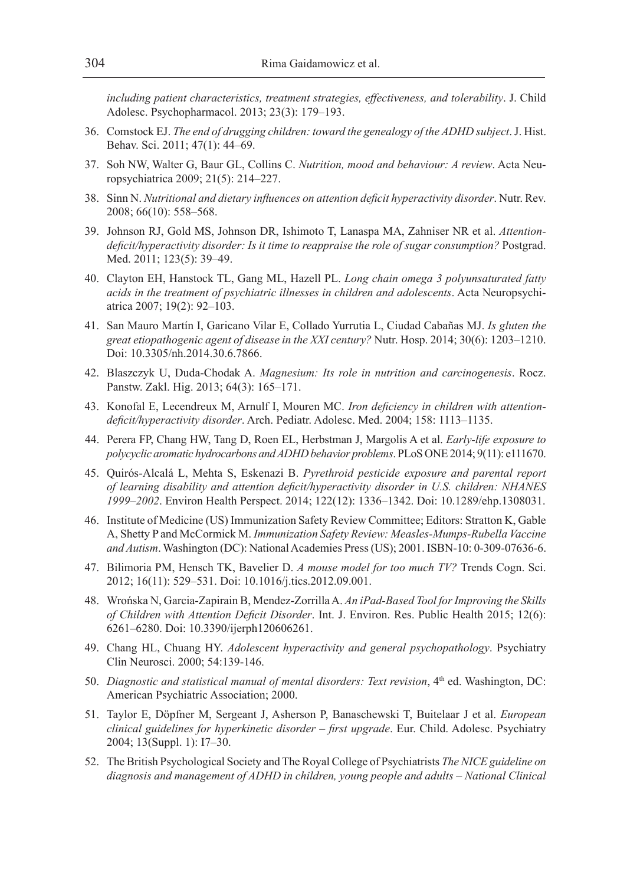*including patient characteristics, treatment strategies, effectiveness, and tolerability*. J. Child Adolesc. Psychopharmacol. 2013; 23(3): 179–193.

- 36. Comstock EJ. *The end of drugging children: toward the genealogy of the ADHD subject*. J. Hist. Behav. Sci. 2011; 47(1): 44–69.
- 37. Soh NW, Walter G, Baur GL, Collins C. *Nutrition, mood and behaviour: A review*. Acta Neuropsychiatrica 2009; 21(5): 214–227.
- 38. Sinn N. *Nutritional and dietary influences on attention deficit hyperactivity disorder*. Nutr. Rev. 2008; 66(10): 558–568.
- 39. Johnson RJ, Gold MS, Johnson DR, Ishimoto T, Lanaspa MA, Zahniser NR et al. *Attentiondeficit/hyperactivity disorder: Is it time to reappraise the role of sugar consumption?* Postgrad. Med. 2011; 123(5): 39–49.
- 40. Clayton EH, Hanstock TL, Gang ML, Hazell PL. *Long chain omega 3 polyunsaturated fatty acids in the treatment of psychiatric illnesses in children and adolescents*. Acta Neuropsychiatrica 2007; 19(2): 92–103.
- 41. San Mauro Martín I, Garicano Vilar E, Collado Yurrutia L, Ciudad Cabañas MJ. *Is gluten the great etiopathogenic agent of disease in the XXI century?* Nutr. Hosp. 2014; 30(6): 1203–1210. Doi: 10.3305/nh.2014.30.6.7866.
- 42. Blaszczyk U, Duda-Chodak A. *Magnesium: Its role in nutrition and carcinogenesis*. Rocz. Panstw. Zakl. Hig. 2013; 64(3): 165–171.
- 43. Konofal E, Lecendreux M, Arnulf I, Mouren MC. *Iron deficiency in children with attentiondeficit/hyperactivity disorder*. Arch. Pediatr. Adolesc. Med. 2004; 158: 1113–1135.
- 44. Perera FP, Chang HW, Tang D, Roen EL, Herbstman J, Margolis A et al. *Early-life exposure to polycyclic aromatic hydrocarbons and ADHD behavior problems*. PLoS ONE 2014; 9(11): e111670.
- 45. Quirós-Alcalá L, Mehta S, Eskenazi B. *Pyrethroid pesticide exposure and parental report of learning disability and attention deficit/hyperactivity disorder in U.S. children: NHANES 1999–2002*. Environ Health Perspect. 2014; 122(12): 1336–1342. Doi: 10.1289/ehp.1308031.
- 46. Institute of Medicine (US) Immunization Safety Review Committee; Editors: Stratton K, Gable A, Shetty P and McCormick M. *Immunization Safety Review: Measles-Mumps-Rubella Vaccine and Autism*. Washington (DC): National Academies Press (US); 2001. ISBN-10: 0-309-07636-6.
- 47. Bilimoria PM, Hensch TK, Bavelier D. *A mouse model for too much TV?* Trends Cogn. Sci. 2012; 16(11): 529–531. Doi: 10.1016/j.tics.2012.09.001.
- 48. Wrońska N, Garcia-Zapirain B, Mendez-Zorrilla A. *An iPad-Based Tool for Improving the Skills of Children with Attention Deficit Disorder*. Int. J. Environ. Res. Public Health 2015; 12(6): 6261–6280. Doi: 10.3390/ijerph120606261.
- 49. Chang HL, Chuang HY. *Adolescent hyperactivity and general psychopathology*. Psychiatry Clin Neurosci. 2000; 54:139-146.
- 50. *Diagnostic and statistical manual of mental disorders: Text revision*, 4th ed. Washington, DC: American Psychiatric Association; 2000.
- 51. Taylor E, Döpfner M, Sergeant J, Asherson P, Banaschewski T, Buitelaar J et al. *European clinical guidelines for hyperkinetic disorder – first upgrade*. Eur. Child. Adolesc. Psychiatry 2004; 13(Suppl. 1): I7–30.
- 52. The British Psychological Society and The Royal College of Psychiatrists *The NICE guideline on diagnosis and management of ADHD in children, young people and adults – National Clinical*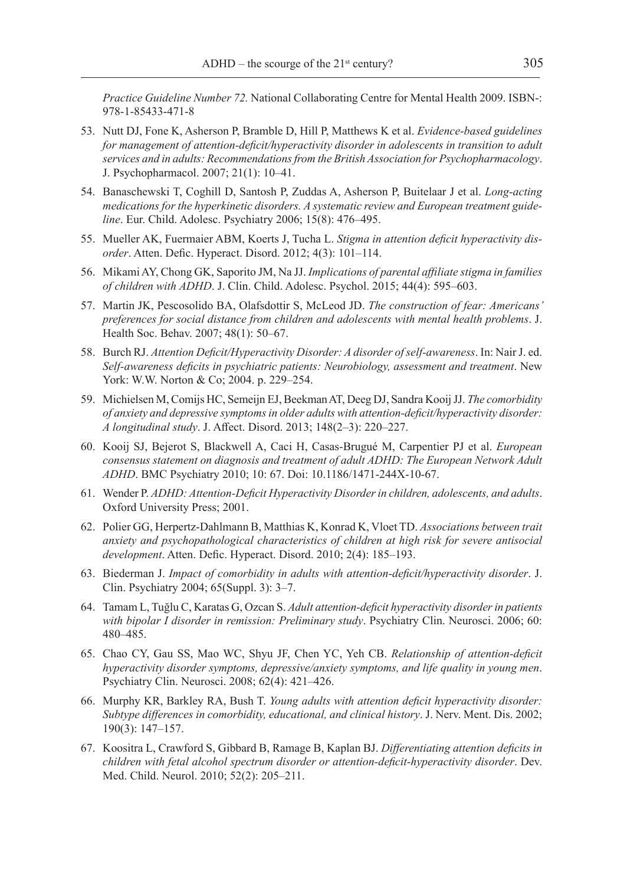*Practice Guideline Number 72.* National Collaborating Centre for Mental Health 2009. ISBN-: 978-1-85433-471-8

- 53. Nutt DJ, Fone K, Asherson P, Bramble D, Hill P, Matthews K et al. *Evidence-based guidelines for management of attention-deficit/hyperactivity disorder in adolescents in transition to adult services and in adults: Recommendations from the British Association for Psychopharmacology*. J. Psychopharmacol. 2007; 21(1): 10–41.
- 54. Banaschewski T, Coghill D, Santosh P, Zuddas A, Asherson P, Buitelaar J et al. *Long-acting medications for the hyperkinetic disorders. A systematic review and European treatment guideline*. Eur. Child. Adolesc. Psychiatry 2006; 15(8): 476–495.
- 55. Mueller AK, Fuermaier ABM, Koerts J, Tucha L. *Stigma in attention deficit hyperactivity disorder*. Atten. Defic. Hyperact. Disord. 2012; 4(3): 101–114.
- 56. Mikami AY, Chong GK, Saporito JM, Na JJ. *Implications of parental affiliate stigma in families of children with ADHD*. J. Clin. Child. Adolesc. Psychol. 2015; 44(4): 595–603.
- 57. Martin JK, Pescosolido BA, Olafsdottir S, McLeod JD. *The construction of fear: Americans' preferences for social distance from children and adolescents with mental health problems*. J. Health Soc. Behav. 2007; 48(1): 50–67.
- 58. Burch RJ. *Attention Deficit/Hyperactivity Disorder: A disorder of self-awareness*. In: Nair J. ed. *Self-awareness deficits in psychiatric patients: Neurobiology, assessment and treatment*. New York: W.W. Norton & Co; 2004. p. 229–254.
- 59. Michielsen M, Comijs HC, Semeijn EJ, Beekman AT, Deeg DJ, Sandra Kooij JJ. *The comorbidity of anxiety and depressive symptoms in older adults with attention-deficit/hyperactivity disorder: A longitudinal study*. J. Affect. Disord. 2013; 148(2–3): 220–227.
- 60. Kooij SJ, Bejerot S, Blackwell A, Caci H, Casas-Brugué M, Carpentier PJ et al. *European consensus statement on diagnosis and treatment of adult ADHD: The European Network Adult ADHD*. BMC Psychiatry 2010; 10: 67. Doi: 10.1186/1471-244X-10-67.
- 61. Wender P. *ADHD: Attention-Deficit Hyperactivity Disorder in children, adolescents, and adults*. Oxford University Press; 2001.
- 62. Polier GG, Herpertz-Dahlmann B, Matthias K, Konrad K, Vloet TD. *Associations between trait anxiety and psychopathological characteristics of children at high risk for severe antisocial development*. Atten. Defic. Hyperact. Disord. 2010; 2(4): 185–193.
- 63. Biederman J. *Impact of comorbidity in adults with attention-deficit/hyperactivity disorder*. J. Clin. Psychiatry 2004; 65(Suppl. 3): 3–7.
- 64. Tamam L, Tuğlu C, Karatas G, Ozcan S. *Adult attention-deficit hyperactivity disorder in patients with bipolar I disorder in remission: Preliminary study*. Psychiatry Clin. Neurosci. 2006; 60: 480–485.
- 65. Chao CY, Gau SS, Mao WC, Shyu JF, Chen YC, Yeh CB. *Relationship of attention-deficit hyperactivity disorder symptoms, depressive/anxiety symptoms, and life quality in young men*. Psychiatry Clin. Neurosci. 2008; 62(4): 421–426.
- 66. Murphy KR, Barkley RA, Bush T. *Young adults with attention deficit hyperactivity disorder: Subtype differences in comorbidity, educational, and clinical history*. J. Nerv. Ment. Dis. 2002; 190(3): 147–157.
- 67. Koositra L, Crawford S, Gibbard B, Ramage B, Kaplan BJ. *Differentiating attention deficits in children with fetal alcohol spectrum disorder or attention-deficit-hyperactivity disorder*. Dev. Med. Child. Neurol. 2010; 52(2): 205–211.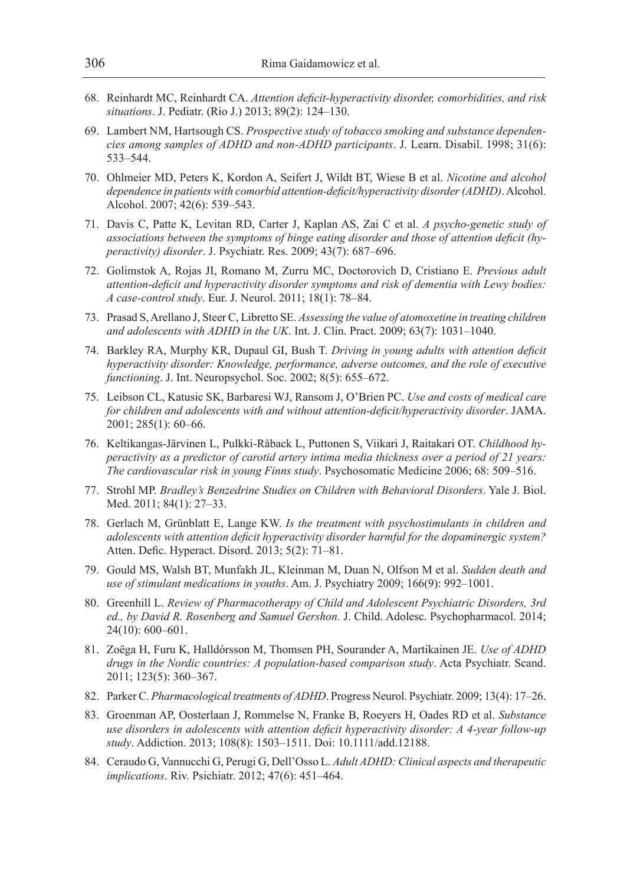- 68. Reinhardt MC, Reinhardt CA. *Attention deficit-hyperactivity disorder, comorbidities, and risk situations*. J. Pediatr. (Rio J.) 2013; 89(2): 124–130.
- 69. Lambert NM, Hartsough CS. *Prospective study of tobacco smoking and substance dependencies among samples of ADHD and non-ADHD participants*. J. Learn. Disabil. 1998; 31(6): 533–544.
- 70. Ohlmeier MD, Peters K, Kordon A, Seifert J, Wildt BT, Wiese B et al. *Nicotine and alcohol dependence in patients with comorbid attention-deficit/hyperactivity disorder (ADHD)*. Alcohol. Alcohol. 2007; 42(6): 539–543.
- 71. Davis C, Patte K, Levitan RD, Carter J, Kaplan AS, Zai C et al. *A psycho-genetic study of associations between the symptoms of binge eating disorder and those of attention deficit (hyperactivity) disorder*. J. Psychiatr. Res. 2009; 43(7): 687–696.
- 72. Golimstok A, Rojas JI, Romano M, Zurru MC, Doctorovich D, Cristiano E. *Previous adult attention-deficit and hyperactivity disorder symptoms and risk of dementia with Lewy bodies: A case-control study*. Eur. J. Neurol. 2011; 18(1): 78–84.
- 73. Prasad S, Arellano J, Steer C, Libretto SE. *Assessing the value of atomoxetine in treating children and adolescents with ADHD in the UK*. Int. J. Clin. Pract. 2009; 63(7): 1031–1040.
- 74. Barkley RA, Murphy KR, Dupaul GI, Bush T. *Driving in young adults with attention deficit hyperactivity disorder: Knowledge, performance, adverse outcomes, and the role of executive functioning*. J. Int. Neuropsychol. Soc. 2002; 8(5): 655–672.
- 75. Leibson CL, Katusic SK, Barbaresi WJ, Ransom J, O'Brien PC. *Use and costs of medical care for children and adolescents with and without attention-deficit/hyperactivity disorder*. JAMA. 2001; 285(1): 60–66.
- 76. Keltikangas-Järvinen L, Pulkki-Råback L, Puttonen S, Viikari J, Raitakari OT. *Childhood hyperactivity as a predictor of carotid artery intima media thickness over a period of 21 years: The cardiovascular risk in young Finns study*. Psychosomatic Medicine 2006; 68: 509–516.
- 77. Strohl MP. *Bradley's Benzedrine Studies on Children with Behavioral Disorders*. Yale J. Biol. Med. 2011; 84(1): 27–33.
- 78. Gerlach M, Grünblatt E, Lange KW. *Is the treatment with psychostimulants in children and adolescents with attention deficit hyperactivity disorder harmful for the dopaminergic system?*  Atten. Defic. Hyperact. Disord. 2013; 5(2): 71–81.
- 79. Gould MS, Walsh BT, Munfakh JL, Kleinman M, Duan N, Olfson M et al. *Sudden death and use of stimulant medications in youths*. Am. J. Psychiatry 2009; 166(9): 992–1001.
- 80. Greenhill L. *Review of Pharmacotherapy of Child and Adolescent Psychiatric Disorders, 3rd ed., by David R. Rosenberg and Samuel Gershon.* J. Child. Adolesc. Psychopharmacol. 2014; 24(10): 600–601.
- 81. Zoëga H, Furu K, Halldórsson M, Thomsen PH, Sourander A, Martikainen JE. *Use of ADHD drugs in the Nordic countries: A population-based comparison study*. Acta Psychiatr. Scand. 2011; 123(5): 360–367.
- 82. Parker C. *Pharmacological treatments of ADHD*. Progress Neurol. Psychiatr. 2009; 13(4): 17–26.
- 83. Groenman AP, Oosterlaan J, Rommelse N, Franke B, Roeyers H, Oades RD et al. *Substance use disorders in adolescents with attention deficit hyperactivity disorder: A 4-year follow-up study*. Addiction. 2013; 108(8): 1503–1511. Doi: 10.1111/add.12188.
- 84. Ceraudo G, Vannucchi G, Perugi G, Dell'Osso L. *Adult ADHD: Clinical aspects and therapeutic implications*. Riv. Psichiatr. 2012; 47(6): 451–464.